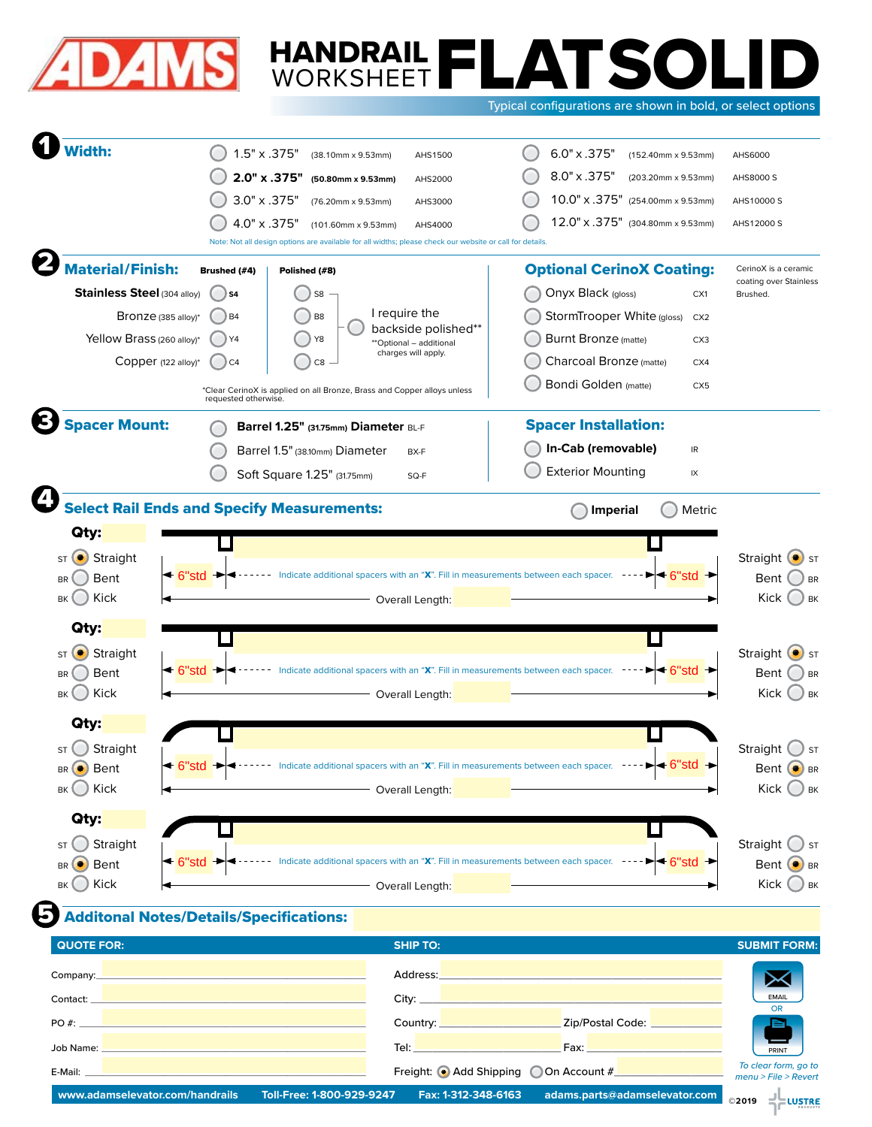

# HANDRAIL FLATSOLID<br>WORKSHEET FLATSOLID WORKSHEET

Typical configurations are shown in bold, or select options

| <b>/idth:</b>                                                                                                                                                                                                                              | $1.5" \times .375"$                                                                           | (38.10mm x 9.53mm)                                                                                               | AHS1500                                                                            | 6.0" x .375"                                                                              | (152.40mm x 9.53mm)                               | AHS6000                                                                                                                                                               |
|--------------------------------------------------------------------------------------------------------------------------------------------------------------------------------------------------------------------------------------------|-----------------------------------------------------------------------------------------------|------------------------------------------------------------------------------------------------------------------|------------------------------------------------------------------------------------|-------------------------------------------------------------------------------------------|---------------------------------------------------|-----------------------------------------------------------------------------------------------------------------------------------------------------------------------|
|                                                                                                                                                                                                                                            | 2.0" x .375"                                                                                  | (50.80mm x 9.53mm)                                                                                               | AHS2000                                                                            | 8.0" x .375"                                                                              | (203.20mm x 9.53mm)                               | AHS8000 S                                                                                                                                                             |
|                                                                                                                                                                                                                                            | 3.0" x .375"                                                                                  | (76.20mm x 9.53mm)                                                                                               | AHS3000                                                                            | 10.0" x .375" (254.00mm x 9.53mm)                                                         |                                                   | AHS10000 S                                                                                                                                                            |
|                                                                                                                                                                                                                                            | 4.0" x .375"                                                                                  | (101.60mm x 9.53mm)                                                                                              | AHS4000                                                                            | 12.0" x .375" (304.80mm x 9.53mm)                                                         |                                                   | AHS12000 S                                                                                                                                                            |
|                                                                                                                                                                                                                                            |                                                                                               | Note: Not all design options are available for all widths; please check our website or call for details.         |                                                                                    |                                                                                           |                                                   |                                                                                                                                                                       |
| <b>Material/Finish:</b>                                                                                                                                                                                                                    | Brushed (#4)                                                                                  | Polished (#8)                                                                                                    |                                                                                    | <b>Optional CerinoX Coating:</b>                                                          |                                                   | CerinoX is a ceramic<br>coating over Stainless                                                                                                                        |
| Stainless Steel (304 alloy)                                                                                                                                                                                                                | S4                                                                                            | S8                                                                                                               |                                                                                    | Onyx Black (gloss)                                                                        | CX1                                               | Brushed.                                                                                                                                                              |
| Bronze (385 alloy)*                                                                                                                                                                                                                        | B <sub>4</sub>                                                                                | B <sub>8</sub>                                                                                                   | I require the<br>backside polished**                                               | StormTrooper White (gloss)                                                                | CX <sub>2</sub>                                   |                                                                                                                                                                       |
| Yellow Brass (260 alloy)*                                                                                                                                                                                                                  | Y4                                                                                            | Y8                                                                                                               | **Optional - additional                                                            | Burnt Bronze (matte)                                                                      | CX3                                               |                                                                                                                                                                       |
| Copper (122 alloy)*                                                                                                                                                                                                                        | C <sub>4</sub>                                                                                | C8                                                                                                               | charges will apply.                                                                | Charcoal Bronze (matte)                                                                   | CX4                                               |                                                                                                                                                                       |
|                                                                                                                                                                                                                                            | requested otherwise.                                                                          | *Clear CerinoX is applied on all Bronze, Brass and Copper alloys unless                                          |                                                                                    | <b>Bondi Golden</b> (matte)                                                               | CX <sub>5</sub>                                   |                                                                                                                                                                       |
| <b>Spacer Mount:</b>                                                                                                                                                                                                                       |                                                                                               | Barrel 1.25" (31.75mm) Diameter BL-F                                                                             |                                                                                    | <b>Spacer Installation:</b>                                                               |                                                   |                                                                                                                                                                       |
|                                                                                                                                                                                                                                            |                                                                                               | Barrel 1.5" (38.10mm) Diameter                                                                                   | BX-F                                                                               | In-Cab (removable)                                                                        | IR                                                |                                                                                                                                                                       |
|                                                                                                                                                                                                                                            |                                                                                               | Soft Square 1.25" (31.75mm)                                                                                      | SQ-F                                                                               | <b>Exterior Mounting</b>                                                                  | IX                                                |                                                                                                                                                                       |
| <b>Select Rail Ends and Specify Measurements:</b>                                                                                                                                                                                          |                                                                                               |                                                                                                                  |                                                                                    | <b>Imperial</b>                                                                           | Metric                                            |                                                                                                                                                                       |
| Qty:                                                                                                                                                                                                                                       |                                                                                               |                                                                                                                  |                                                                                    |                                                                                           |                                                   |                                                                                                                                                                       |
| Straight<br>ST                                                                                                                                                                                                                             |                                                                                               |                                                                                                                  |                                                                                    |                                                                                           |                                                   | Straight<br>$\bullet$ ) ST                                                                                                                                            |
|                                                                                                                                                                                                                                            |                                                                                               |                                                                                                                  |                                                                                    |                                                                                           |                                                   |                                                                                                                                                                       |
| $\triangleleft$ 6"std<br>Bent                                                                                                                                                                                                              |                                                                                               |                                                                                                                  | Indicate additional spacers with an "X". Fill in measurements between each spacer. |                                                                                           | $\blacktriangleright$ - 6"std                     | Bent                                                                                                                                                                  |
| Kick                                                                                                                                                                                                                                       |                                                                                               |                                                                                                                  | Overall Length:                                                                    |                                                                                           |                                                   | ) BR<br>Kick<br>) BK                                                                                                                                                  |
| Qty:                                                                                                                                                                                                                                       |                                                                                               |                                                                                                                  |                                                                                    |                                                                                           |                                                   |                                                                                                                                                                       |
| Straight                                                                                                                                                                                                                                   |                                                                                               |                                                                                                                  |                                                                                    |                                                                                           |                                                   | Straight (                                                                                                                                                            |
| $\triangleleft$ 6"std<br><b>Bent</b>                                                                                                                                                                                                       |                                                                                               | Indicate additional spacers with an "X". Fill in measurements between each spacer.                               |                                                                                    |                                                                                           | 6"std                                             | Bent                                                                                                                                                                  |
| Kick                                                                                                                                                                                                                                       |                                                                                               |                                                                                                                  | Overall Length:                                                                    |                                                                                           |                                                   | Kick                                                                                                                                                                  |
| Qty:                                                                                                                                                                                                                                       |                                                                                               |                                                                                                                  |                                                                                    |                                                                                           |                                                   |                                                                                                                                                                       |
| Straight                                                                                                                                                                                                                                   |                                                                                               |                                                                                                                  |                                                                                    |                                                                                           |                                                   | Straight                                                                                                                                                              |
| $-6"$ std $+$                                                                                                                                                                                                                              |                                                                                               |                                                                                                                  | dicate additional spacers with an "X". Fill in measurements between each spacer.   |                                                                                           | $\bullet$ 6"std $\,$ +                            |                                                                                                                                                                       |
|                                                                                                                                                                                                                                            |                                                                                               |                                                                                                                  | - Overall Length:                                                                  |                                                                                           |                                                   | Kick                                                                                                                                                                  |
| Qty:                                                                                                                                                                                                                                       |                                                                                               |                                                                                                                  |                                                                                    |                                                                                           |                                                   |                                                                                                                                                                       |
| Straight                                                                                                                                                                                                                                   |                                                                                               |                                                                                                                  |                                                                                    |                                                                                           |                                                   | Straight                                                                                                                                                              |
|                                                                                                                                                                                                                                            |                                                                                               | ← 6"std → < - - - - - Indicate additional spacers with an "X". Fill in measurements between each spacer. - - - - |                                                                                    |                                                                                           | $\blacktriangleright$ 6"std $\blacktriangleright$ |                                                                                                                                                                       |
|                                                                                                                                                                                                                                            |                                                                                               | Overall Length:                                                                                                  |                                                                                    |                                                                                           |                                                   |                                                                                                                                                                       |
| <b>Additonal Notes/Details/Specifications:</b>                                                                                                                                                                                             |                                                                                               |                                                                                                                  |                                                                                    |                                                                                           |                                                   |                                                                                                                                                                       |
| <b>BR</b><br>BK<br><b>ST</b><br><b>BR</b><br>BK<br><b>ST</b><br>BR Bent<br>$BK$ Kick<br><b>ST</b><br>BR Bent<br>$BK$ Kick<br><b>QUOTE FOR:</b>                                                                                             |                                                                                               |                                                                                                                  | <b>SHIP TO:</b>                                                                    |                                                                                           |                                                   |                                                                                                                                                                       |
|                                                                                                                                                                                                                                            | and the control of the control of the control of the control of the control of the control of |                                                                                                                  | Address:                                                                           | the control of the control of the control of the control of the control of the control of |                                                   |                                                                                                                                                                       |
| Company:<br>Contact: Executive Contact: Contact: Contact: Contact: Contact: Contact: Contact: Contact: Contact: Contact: Contact: Contact: Contact: Contact: Contact: Contact: Contact: Contact: Contact: Contact: Contact: Contact: Conta |                                                                                               |                                                                                                                  |                                                                                    |                                                                                           |                                                   | ⋙<br><b>EMAIL</b>                                                                                                                                                     |
| $PO#$ : $\blacksquare$                                                                                                                                                                                                                     |                                                                                               |                                                                                                                  |                                                                                    | Country: <u>Country:</u> 2ip/Postal Code: 2001                                            |                                                   | $\bullet$ ST<br>) BR<br>) BK<br>Bent <sup>O</sup> BR<br>$\bigcup$ BK<br>$\int$ ST<br>Bent <sup>O</sup> BR<br>$Kick$ $\bigcirc$ BK<br><b>SUBMIT FORM:</b><br><b>OR</b> |
| Job Name: Williams and Contract and Contract and Contract and Contract and Contract and Contract and                                                                                                                                       |                                                                                               |                                                                                                                  |                                                                                    |                                                                                           |                                                   | PRINT                                                                                                                                                                 |
| E-Mail:                                                                                                                                                                                                                                    |                                                                                               |                                                                                                                  |                                                                                    | Freight: ● Add Shipping ● On Account #                                                    |                                                   | To clear form, go to<br>$menu$ > File > Revert                                                                                                                        |